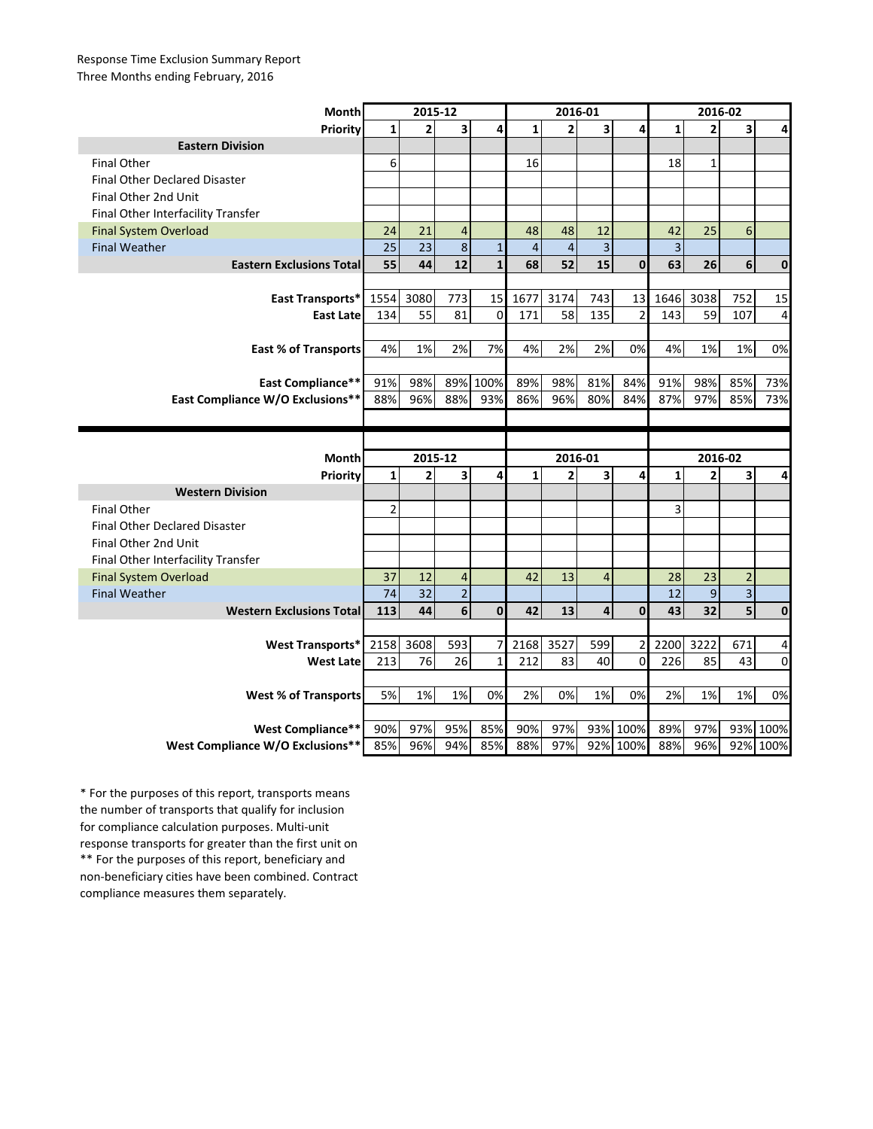## Response Time Exclusion Summary Report Three Months ending February, 2016

| Month                                | 2015-12        |                |                |              | 2016-01        |                |                         |                | 2016-02        |                |                |              |
|--------------------------------------|----------------|----------------|----------------|--------------|----------------|----------------|-------------------------|----------------|----------------|----------------|----------------|--------------|
| Priority                             | $\mathbf{1}$   | $\overline{2}$ | 3              | 4            | $\mathbf{1}$   | $\overline{2}$ | 3                       | 4              | $\mathbf{1}$   | $\overline{2}$ | 3              | 4            |
| <b>Eastern Division</b>              |                |                |                |              |                |                |                         |                |                |                |                |              |
| <b>Final Other</b>                   | 6              |                |                |              | 16             |                |                         |                | 18             | $\mathbf{1}$   |                |              |
| <b>Final Other Declared Disaster</b> |                |                |                |              |                |                |                         |                |                |                |                |              |
| Final Other 2nd Unit                 |                |                |                |              |                |                |                         |                |                |                |                |              |
| Final Other Interfacility Transfer   |                |                |                |              |                |                |                         |                |                |                |                |              |
| <b>Final System Overload</b>         | 24             | 21             | $\overline{4}$ |              | 48             | 48             | 12                      |                | 42             | 25             | 6              |              |
| <b>Final Weather</b>                 | 25             | 23             | 8              | $\mathbf{1}$ | $\overline{4}$ | $\overline{4}$ | $\overline{\mathbf{3}}$ |                | $\overline{3}$ |                |                |              |
| <b>Eastern Exclusions Total</b>      | 55             | 44             | 12             | $\mathbf{1}$ | 68             | 52             | 15                      | $\mathbf{0}$   | 63             | 26             | 6              | $\mathbf{0}$ |
|                                      |                |                |                |              |                |                |                         |                |                |                |                |              |
| East Transports*                     | 1554           | 3080           | 773            | 15           | 1677           | 3174           | 743                     | 13             | 1646           | 3038           | 752            | 15           |
| <b>East Late</b>                     | 134            | 55             | 81             | $\mathbf 0$  | 171            | 58             | 135                     | $\overline{2}$ | 143            | 59             | 107            | 4            |
|                                      |                |                |                |              |                |                |                         |                |                |                |                |              |
| East % of Transports                 | 4%             | 1%             | 2%             | 7%           | 4%             | 2%             | 2%                      | 0%             | 4%             | 1%             | 1%             | 0%           |
|                                      |                |                |                |              |                |                |                         |                |                |                |                |              |
| <b>East Compliance**</b>             | 91%            | 98%            |                | 89% 100%     | 89%            | 98%            | 81%                     | 84%            | 91%            | 98%            | 85%            | 73%          |
| East Compliance W/O Exclusions**     | 88%            | 96%            | 88%            | 93%          | 86%            | 96%            | 80%                     | 84%            | 87%            | 97%            | 85%            | 73%          |
|                                      |                |                |                |              |                |                |                         |                |                |                |                |              |
|                                      |                |                |                |              |                |                |                         |                |                |                |                |              |
|                                      |                |                |                |              |                |                |                         |                |                |                |                |              |
|                                      |                | 2015-12        |                |              |                | 2016-01        |                         |                |                | 2016-02        |                |              |
| Month                                | $\mathbf{1}$   | $\overline{2}$ | 3              | 4            | $\mathbf{1}$   | $\overline{2}$ | 3                       | 4              | $\mathbf{1}$   | $\overline{2}$ | 3              | 4            |
| Priority<br><b>Western Division</b>  |                |                |                |              |                |                |                         |                |                |                |                |              |
| <b>Final Other</b>                   | $\overline{2}$ |                |                |              |                |                |                         |                | 3              |                |                |              |
| <b>Final Other Declared Disaster</b> |                |                |                |              |                |                |                         |                |                |                |                |              |
| Final Other 2nd Unit                 |                |                |                |              |                |                |                         |                |                |                |                |              |
| Final Other Interfacility Transfer   |                |                |                |              |                |                |                         |                |                |                |                |              |
| <b>Final System Overload</b>         | 37             | 12             | $\overline{4}$ |              | 42             | 13             | $\overline{4}$          |                | 28             | 23             | $\overline{2}$ |              |
| <b>Final Weather</b>                 | 74             | 32             | $\overline{2}$ |              |                |                |                         |                | 12             | 9              | $\overline{3}$ |              |
| <b>Western Exclusions Total</b>      | 113            | 44             | 6              | $\mathbf{0}$ | 42             | 13             | 4                       | $\mathbf{0}$   | 43             | 32             | 5              | $\mathbf{0}$ |
|                                      |                |                |                |              |                |                |                         |                |                |                |                |              |
| <b>West Transports*</b>              | 2158           | 3608           | 593            | 7            | 2168           | 3527           | 599                     | 2              | 2200           | 3222           | 671            | 4            |
| <b>West Late</b>                     | 213            | 76             | 26             | $\mathbf{1}$ | 212            | 83             | 40                      | $\Omega$       | 226            | 85             | 43             | $\Omega$     |
|                                      |                |                |                |              |                |                |                         |                |                |                |                |              |
| <b>West % of Transports</b>          | 5%             | 1%             | 1%             | 0%           | 2%             | 0%             | 1%                      | 0%             | 2%             | 1%             | 1%             | 0%           |
|                                      |                |                |                |              |                |                |                         |                |                |                |                |              |
| <b>West Compliance**</b>             | 90%            | 97%            | 95%            | 85%          | 90%            | 97%            |                         | 93% 100%       | 89%            | 97%            |                | 93% 100%     |

\*\* For the purposes of this report, beneficiary and non-beneficiary cities have been combined. Contract compliance measures them separately. \* For the purposes of this report, transports means the number of transports that qualify for inclusion for compliance calculation purposes. Multi-unit response transports for greater than the first unit on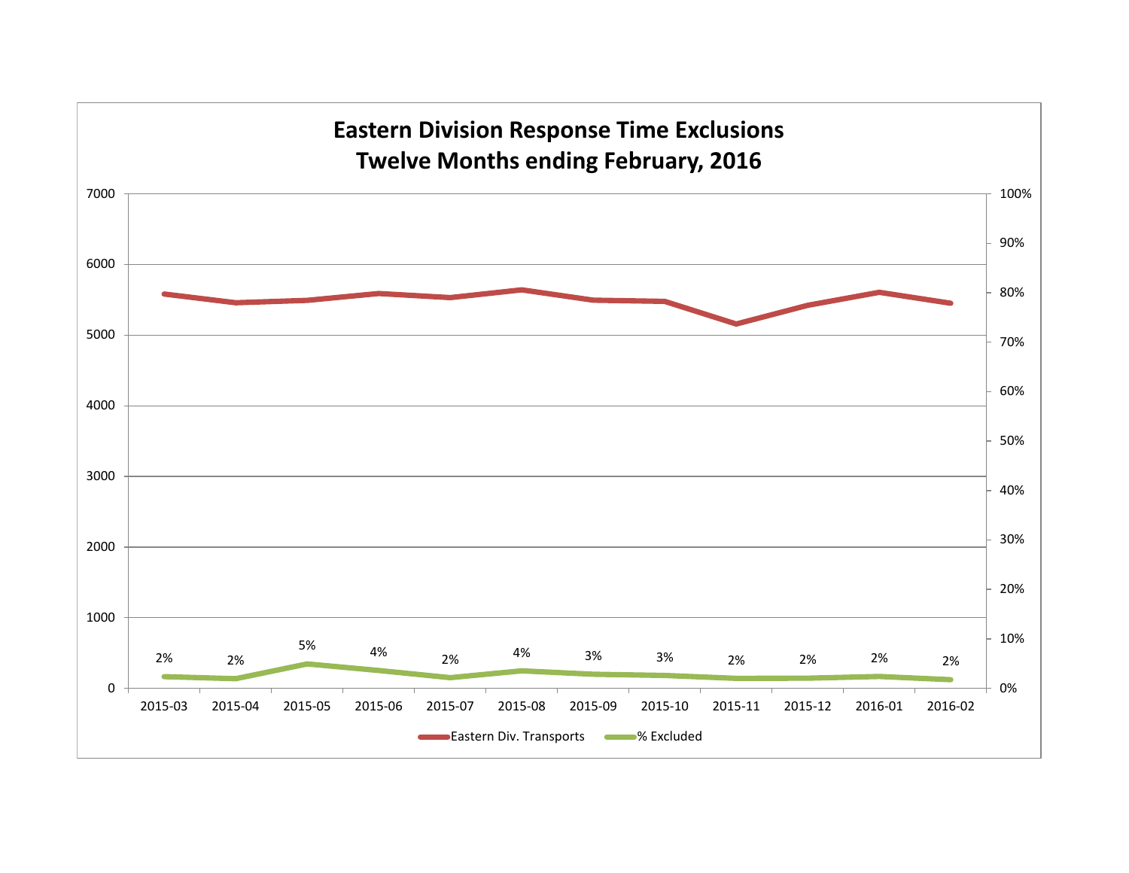